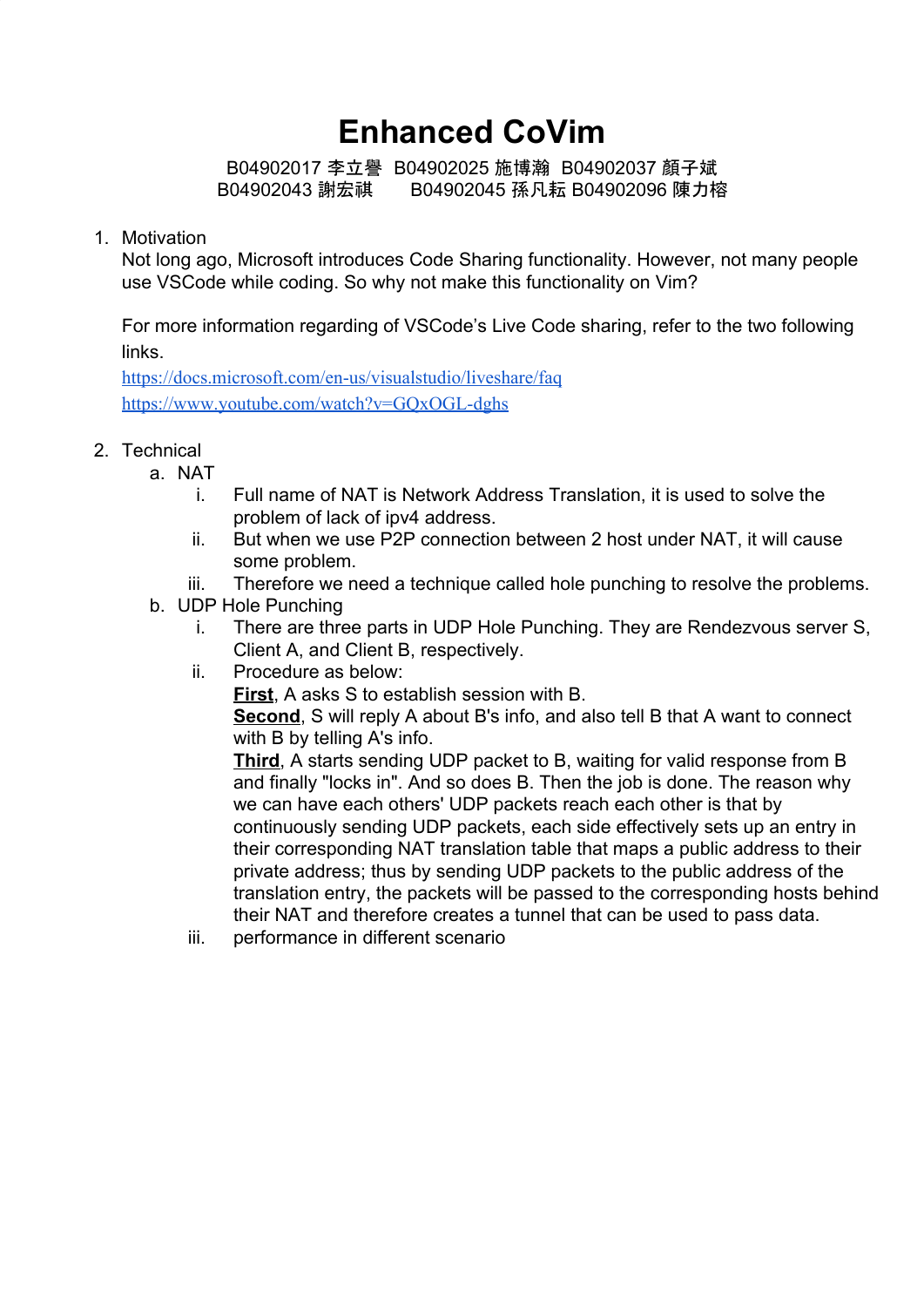# **Enhanced CoVim**

B04902017 李立譽 B04902025 施博瀚 B04902037 顏子斌 B04902043 謝宏祺 B04902045 孫凡耘 B04902096 陳力榕

#### 1. Motivation

Not long ago, Microsoft introduces Code Sharing functionality. However, not many people use VSCode while coding. So why not make this functionality on Vim?

For more information regarding of VSCode's Live Code sharing, refer to the two following links.

<https://docs.microsoft.com/en-us/visualstudio/liveshare/faq> <https://www.youtube.com/watch?v=GQxOGL-dghs>

- 2. Technical
	- a. NAT
		- i. Full name of NAT is Network Address Translation, it is used to solve the problem of lack of ipv4 address.
		- ii. But when we use P2P connection between 2 host under NAT, it will cause some problem.
		- iii. Therefore we need a technique called hole punching to resolve the problems.
	- b. UDP Hole Punching
		- i. There are three parts in UDP Hole Punching. They are Rendezvous server S, Client A, and Client B, respectively.
		- ii. Procedure as below:

**First**, A asks S to establish session with B.

**Second**, S will reply A about B's info, and also tell B that A want to connect with B by telling A's info.

**Third**, A starts sending UDP packet to B, waiting for valid response from B and finally "locks in". And so does B. Then the job is done. The reason why we can have each others' UDP packets reach each other is that by continuously sending UDP packets, each side effectively sets up an entry in their corresponding NAT translation table that maps a public address to their private address; thus by sending UDP packets to the public address of the translation entry, the packets will be passed to the corresponding hosts behind their NAT and therefore creates a tunnel that can be used to pass data.

iii. performance in different scenario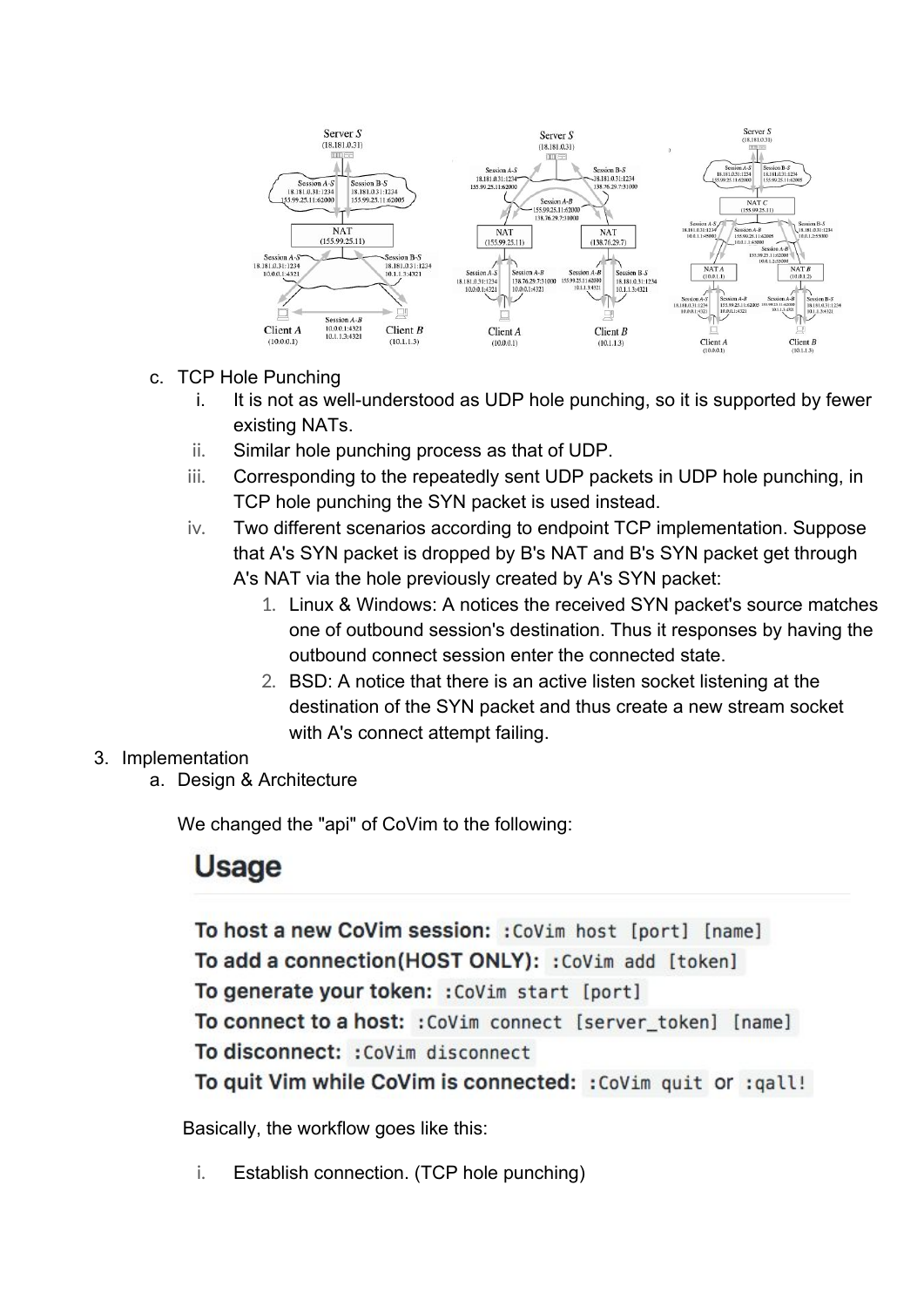

- c. TCP Hole Punching
	- i. It is not as well-understood as UDP hole punching, so it is supported by fewer existing NATs.
	- ii. Similar hole punching process as that of UDP.
	- iii. Corresponding to the repeatedly sent UDP packets in UDP hole punching, in TCP hole punching the SYN packet is used instead.
	- iv. Two different scenarios according to endpoint TCP implementation. Suppose that A's SYN packet is dropped by B's NAT and B's SYN packet get through A's NAT via the hole previously created by A's SYN packet:
		- 1. Linux & Windows: A notices the received SYN packet's source matches one of outbound session's destination. Thus it responses by having the outbound connect session enter the connected state.
		- 2. BSD: A notice that there is an active listen socket listening at the destination of the SYN packet and thus create a new stream socket with A's connect attempt failing.

### 3. Implementation

a. Design & Architecture

We changed the "api" of CoVim to the following:

## **Usage**

To host a new CoVim session: : CoVim host [port] [name] To add a connection(HOST ONLY): : CoVim add [token] To generate your token: : CoVim start [port] To connect to a host: : CoVim connect [server\_token] [name] To disconnect: : CoVim disconnect To quit Vim while CoVim is connected: : CoVim quit or : qall!

Basically, the workflow goes like this:

i. Establish connection. (TCP hole punching)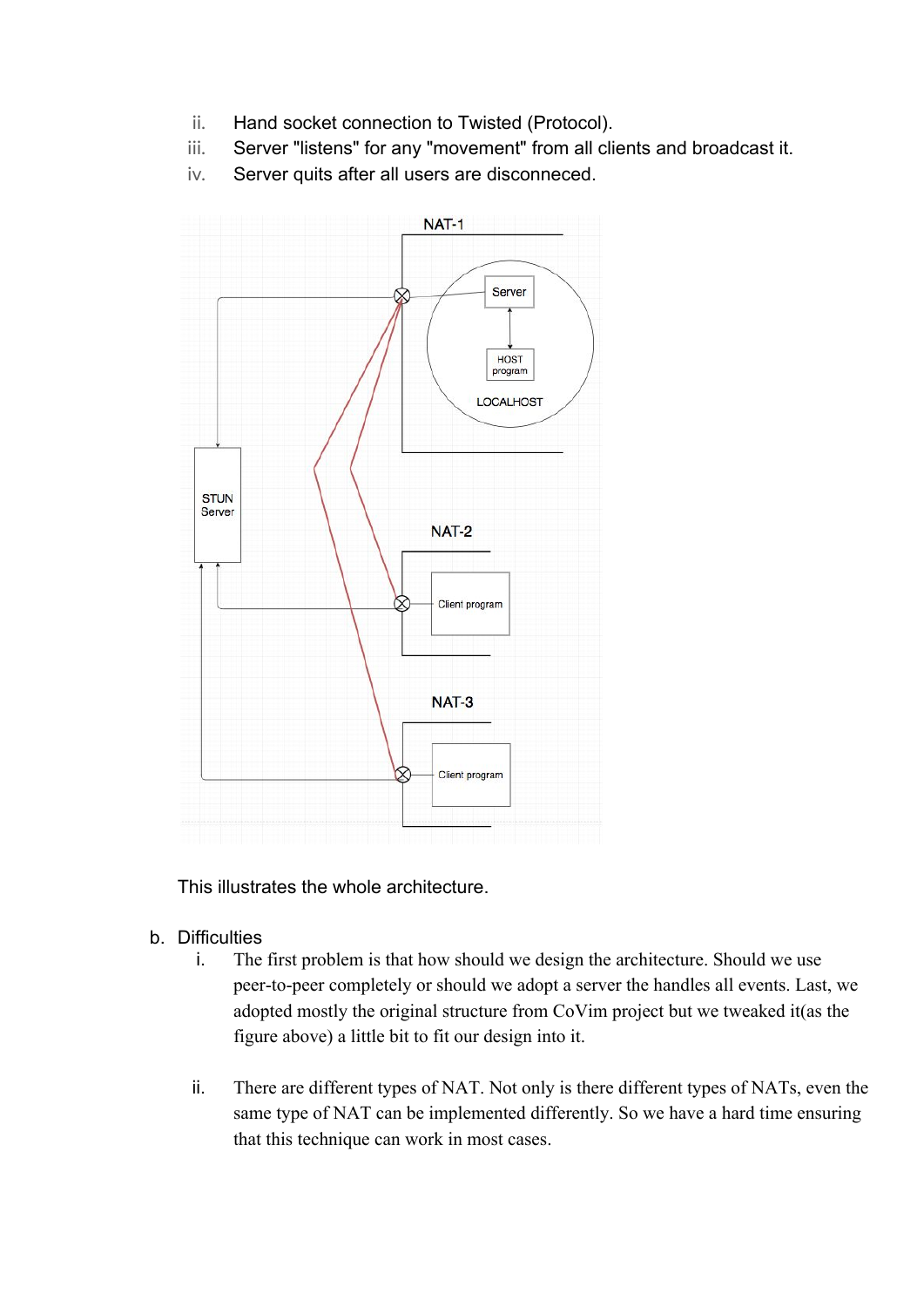- ii. Hand socket connection to Twisted (Protocol).
- iii. Server "listens" for any "movement" from all clients and broadcast it.
- iv. Server quits after all users are disconneced.



This illustrates the whole architecture.

- b. Difficulties
	- i. The first problem is that how should we design the architecture. Should we use peer-to-peer completely or should we adopt a server the handles all events. Last, we adopted mostly the original structure from CoVim project but we tweaked it(as the figure above) a little bit to fit our design into it.
	- ii. There are different types of NAT. Not only is there different types of NATs, even the same type of NAT can be implemented differently. So we have a hard time ensuring that this technique can work in most cases.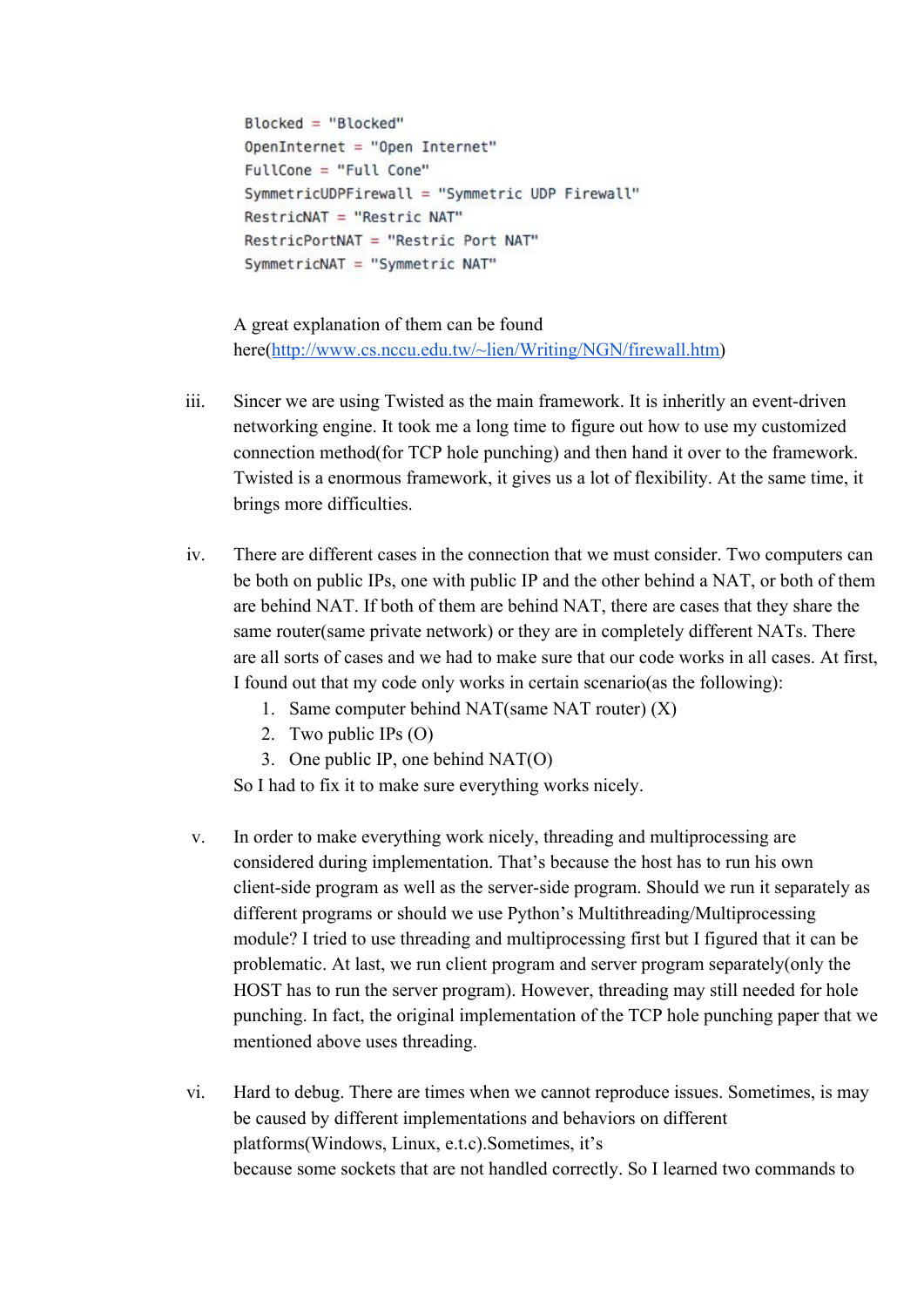```
Blocked = "Blocked"OpenInternet = "Open Internet"
FullCone = "Full Cone"
SymmetricUDPFirewall = "Symmetric UDP Firewall"
RestricNAT = "Restric NAT"
RestricPortNAT = "Restric Port NAT"
SymmetricNAT = "Symmetric NAT"
```
A great explanation of them can be found here([http://www.cs.nccu.edu.tw/~lien/Writing/NGN/firewall.htm\)](http://www.cs.nccu.edu.tw/~lien/Writing/NGN/firewall.htm)

- iii. Sincer we are using Twisted as the main framework. It is inheritly an event-driven networking engine. It took me a long time to figure out how to use my customized connection method(for TCP hole punching) and then hand it over to the framework. Twisted is a enormous framework, it gives us a lot of flexibility. At the same time, it brings more difficulties.
- iv. There are different cases in the connection that we must consider. Two computers can be both on public IPs, one with public IP and the other behind a NAT, or both of them are behind NAT. If both of them are behind NAT, there are cases that they share the same router(same private network) or they are in completely different NATs. There are all sorts of cases and we had to make sure that our code works in all cases. At first, I found out that my code only works in certain scenario(as the following):
	- 1. Same computer behind NAT(same NAT router) (X)
	- 2. Two public IPs (O)
	- 3. One public IP, one behind NAT(O)

So I had to fix it to make sure everything works nicely.

- v. In order to make everything work nicely, threading and multiprocessing are considered during implementation. That's because the host has to run his own client-side program as well as the server-side program. Should we run it separately as different programs or should we use Python's Multithreading/Multiprocessing module? I tried to use threading and multiprocessing first but I figured that it can be problematic. At last, we run client program and server program separately(only the HOST has to run the server program). However, threading may still needed for hole punching. In fact, the original implementation of the TCP hole punching paper that we mentioned above uses threading.
- vi. Hard to debug. There are times when we cannot reproduce issues. Sometimes, is may be caused by different implementations and behaviors on different platforms(Windows, Linux, e.t.c).Sometimes, it's because some sockets that are not handled correctly. So I learned two commands to